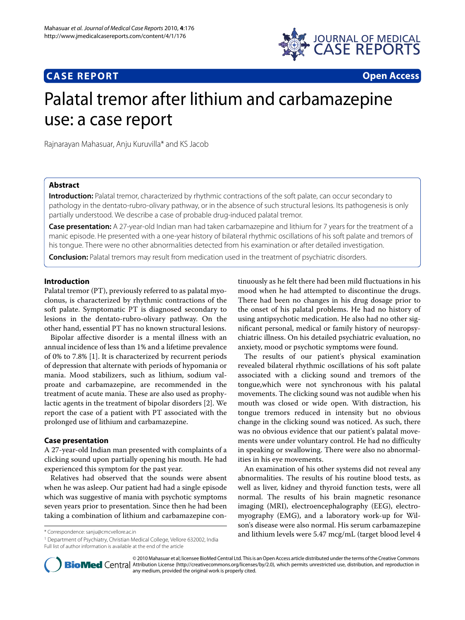



# Palatal tremor after lithium and carbamazepine use: a case report

Rajnarayan Mahasuar, Anju Kuruvilla\* and KS Jacob

# **[Abstract](http://www.ncbi.nlm.nih.gov/entrez/query.fcgi?cmd=Retrieve&db=PubMed&dopt=Abstract&list_uids=20537197)**

**Introduction:** Palatal tremor, characterized by rhythmic contractions of the soft palate, can occur secondary to pathology in the dentato-rubro-olivary pathway, or in the absence of such structural lesions. Its pathogenesis is only partially understood. We describe a case of probable drug-induced palatal tremor.

**Case presentation:** A 27-year-old Indian man had taken carbamazepine and lithium for 7 years for the treatment of a manic episode. He presented with a one-year history of bilateral rhythmic oscillations of his soft palate and tremors of his tongue. There were no other abnormalities detected from his examination or after detailed investigation.

**Conclusion:** Palatal tremors may result from medication used in the treatment of psychiatric disorders.

## **Introduction**

Palatal tremor (PT), previously referred to as palatal myoclonus, is characterized by rhythmic contractions of the soft palate. Symptomatic PT is diagnosed secondary to lesions in the dentato-rubro-olivary pathway. On the other hand, essential PT has no known structural lesions.

Bipolar affective disorder is a mental illness with an annual incidence of less than 1% and a lifetime prevalence of 0% to 7.8% [\[1](#page-1-0)]. It is characterized by recurrent periods of depression that alternate with periods of hypomania or mania. Mood stabilizers, such as lithium, sodium valproate and carbamazepine, are recommended in the treatment of acute mania. These are also used as prophylactic agents in the treatment of bipolar disorders [[2\]](#page-1-1). We report the case of a patient with PT associated with the prolonged use of lithium and carbamazepine.

# **Case presentation**

A 27-year-old Indian man presented with complaints of a clicking sound upon partially opening his mouth. He had experienced this symptom for the past year.

Relatives had observed that the sounds were absent when he was asleep. Our patient had had a single episode which was suggestive of mania with psychotic symptoms seven years prior to presentation. Since then he had been taking a combination of lithium and carbamazepine con-

1 Department of Psychiatry, Christian Medical College, Vellore 632002, India Full list of author information is available at the end of the article

tinuously as he felt there had been mild fluctuations in his mood when he had attempted to discontinue the drugs. There had been no changes in his drug dosage prior to the onset of his palatal problems. He had no history of using antipsychotic medication. He also had no other significant personal, medical or family history of neuropsychiatric illness. On his detailed psychiatric evaluation, no anxiety, mood or psychotic symptoms were found.

The results of our patient's physical examination revealed bilateral rhythmic oscillations of his soft palate associated with a clicking sound and tremors of the tongue,which were not synchronous with his palatal movements. The clicking sound was not audible when his mouth was closed or wide open. With distraction, his tongue tremors reduced in intensity but no obvious change in the clicking sound was noticed. As such, there was no obvious evidence that our patient's palatal movements were under voluntary control. He had no difficulty in speaking or swallowing. There were also no abnormalities in his eye movements.

An examination of his other systems did not reveal any abnormalities. The results of his routine blood tests, as well as liver, kidney and thyroid function tests, were all normal. The results of his brain magnetic resonance imaging (MRI), electroencephalography (EEG), electromyography (EMG), and a laboratory work-up for Wilson's disease were also normal. His serum carbamazepine and lithium levels were 5.47 mcg/mL (target blood level 4 \* Correspondence: sanju@cmcvellore.ac.in



© 2010 Mahasuar et al; licensee BioMed Central Ltd. This is an Open Access article distributed under the terms of the Creative Commons **Bio Med** Central Attribution License (http://creativecommons.org/licenses/by/2.0), which permits unrestricted use, distribution, and reproduction in any medium, provided the original work is properly cited.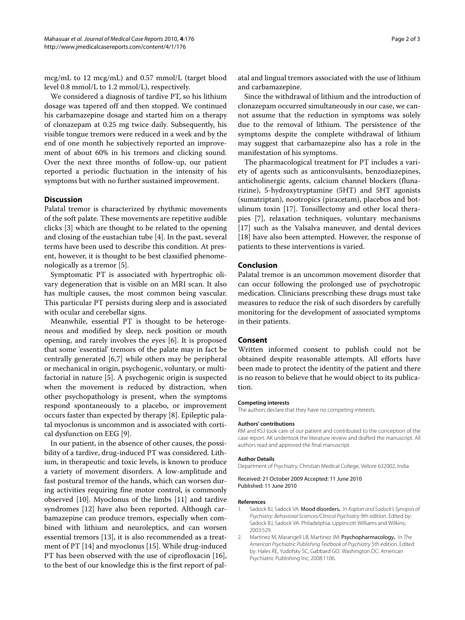mcg/mL to 12 mcg/mL) and 0.57 mmol/L (target blood level 0.8 mmol/L to 1.2 mmol/L), respectively.

We considered a diagnosis of tardive PT, so his lithium dosage was tapered off and then stopped. We continued his carbamazepine dosage and started him on a therapy of clonazepam at 0.25 mg twice daily. Subsequently, his visible tongue tremors were reduced in a week and by the end of one month he subjectively reported an improvement of about 60% in his tremors and clicking sound. Over the next three months of follow-up, our patient reported a periodic fluctuation in the intensity of his symptoms but with no further sustained improvement.

## **Discussion**

Palatal tremor is characterized by rhythmic movements of the soft palate. These movements are repetitive audible clicks [[3\]](#page-2-0) which are thought to be related to the opening and closing of the eustachian tube [\[4](#page-2-1)]. In the past, several terms have been used to describe this condition. At present, however, it is thought to be best classified phenomenologically as a tremor [[5\]](#page-2-2).

Symptomatic PT is associated with hypertrophic olivary degeneration that is visible on an MRI scan. It also has multiple causes, the most common being vascular. This particular PT persists during sleep and is associated with ocular and cerebellar signs.

Meanwhile, essential PT is thought to be heterogeneous and modified by sleep, neck position or mouth opening, and rarely involves the eyes [[6](#page-2-3)]. It is proposed that some 'essential' tremors of the palate may in fact be centrally generated [[6](#page-2-3)[,7](#page-2-4)] while others may be peripheral or mechanical in origin, psychogenic, voluntary, or multifactorial in nature [[5\]](#page-2-2). A psychogenic origin is suspected when the movement is reduced by distraction, when other psychopathology is present, when the symptoms respond spontaneously to a placebo, or improvement occurs faster than expected by therapy [\[8](#page-2-5)]. Epileptic palatal myoclonus is uncommon and is associated with cortical dysfunction on EEG [\[9](#page-2-6)].

In our patient, in the absence of other causes, the possibility of a tardive, drug-induced PT was considered. Lithium, in therapeutic and toxic levels, is known to produce a variety of movement disorders. A low-amplitude and fast postural tremor of the hands, which can worsen during activities requiring fine motor control, is commonly observed [[10\]](#page-2-7). Myoclonus of the limbs [[11](#page-2-8)] and tardive syndromes [\[12\]](#page-2-9) have also been reported. Although carbamazepine can produce tremors, especially when combined with lithium and neuroleptics, and can worsen essential tremors [[13\]](#page-2-10), it is also recommended as a treatment of PT [[14\]](#page-2-11) and myoclonus [\[15](#page-2-12)]. While drug-induced PT has been observed with the use of ciprofloxacin [\[16](#page-2-13)], to the best of our knowledge this is the first report of pal-

atal and lingual tremors associated with the use of lithium and carbamazepine.

Since the withdrawal of lithium and the introduction of clonazepam occurred simultaneously in our case, we cannot assume that the reduction in symptoms was solely due to the removal of lithium. The persistence of the symptoms despite the complete withdrawal of lithium may suggest that carbamazepine also has a role in the manifestation of his symptoms.

The pharmacological treatment for PT includes a variety of agents such as anticonvulsants, benzodiazepines, anticholinergic agents, calcium channel blockers (flunarizine), 5-hydroxytryptamine (5HT) and 5HT agonists (sumatriptan), nootropics (piracetam), placebos and botulinum toxin [[17\]](#page-2-14). Tonsillectomy and other local therapies [\[7](#page-2-4)], relaxation techniques, voluntary mechanisms [[17\]](#page-2-14) such as the Valsalva maneuver, and dental devices [[18\]](#page-2-15) have also been attempted. However, the response of patients to these interventions is varied.

## **Conclusion**

Palatal tremor is an uncommon movement disorder that can occur following the prolonged use of psychotropic medication. Clinicians prescribing these drugs must take measures to reduce the risk of such disorders by carefully monitoring for the development of associated symptoms in their patients.

## **Consent**

Written informed consent to publish could not be obtained despite reasonable attempts. All efforts have been made to protect the identity of the patient and there is no reason to believe that he would object to its publication.

#### **Competing interests**

The authors declare that they have no competing interests.

#### **Authors' contributions**

RM and KSJ took care of our patient and contributed to the conception of the case report. AK undertook the literature review and drafted the manuscript. All authors read and approved the final manuscript.

#### **Author Details**

Department of Psychiatry, Christian Medical College, Vellore 632002, India

#### Received: 21 October 2009 Accepted: 11 June 2010 Published: 11 June 2010

#### **References**

- <span id="page-1-0"></span>1. Sadock BJ, Sadock VA: Mood disorders**.** In Kaplan and Sadock's Synopsis of Psychiatry: Behavioral Sciences/Clinical Psychiatry 9th edition. Edited by: Sadock BJ, Sadock VA. Philadelphia: Lippincott Williams and Wilkins; 2003:529.
- <span id="page-1-1"></span>2. Martinez M, Marangell LB, Martinez JM: Psychopharmacology**.** In The American Psychiatric Publishing Textbook of Psychiatry 5th edition. Edited by: Hales RE, Yudofsky SC, Gabbard GO. Washington DC: American Psychiatric Publishing Inc; 2008:1106.